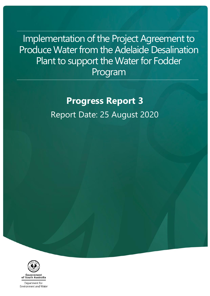Implementation of the Project Agreement to Produce Water from the Adelaide Desalination Plant to support the Water for Fodder Program

> **Progress Report 3** Report Date: 25 August 2020



Department for Environment and Water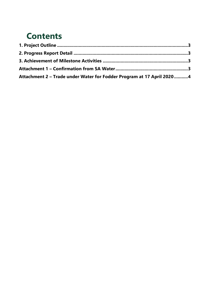### **Contents**

| Attachment 2 - Trade under Water for Fodder Program at 17 April 20204 |  |
|-----------------------------------------------------------------------|--|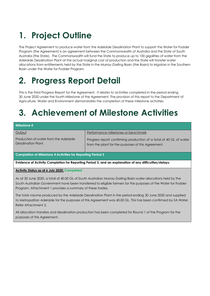## **1. Project Outline**

The Project Agreement to produce water from the Adelaide Desalination Plant to support the Water for Fodder Program (the Agreement) is an agreement between the Commonwealth of Australia and the State of South Australia (the State). The Commonwealth will fund the State to produce up to 100 gigalitres of water from the Adelaide Desalination Plant at the actual marginal cost of production and the State will transfer water allocations from entitlements held by the State in the Murray-Darling Basin (the Basin) to irrigators in the Southern Basin under the Water for Fodder Program.

## **2. Progress Report Detail**

This is the third Progress Report for the Agreement. It relates to activities completed in the period ending 30 June 2020 under the fourth Milestone of the Agreement. The provision of this report to the Department of Agriculture, Water and Environment demonstrates the completion of these milestone activities.

## **3. Achievement of Milestone Activities**

| <b>Milestone 4</b>                                                                                     |                                                                                                                          |  |  |  |
|--------------------------------------------------------------------------------------------------------|--------------------------------------------------------------------------------------------------------------------------|--|--|--|
| Output                                                                                                 | Performance milestones or benchmark                                                                                      |  |  |  |
| Production of water from the Adelaide<br>Desalination Plant.                                           | Progress report confirming production of a total of 40 GL of water<br>from the plant for the purposes of this Agreement. |  |  |  |
| <b>Completion of Milestone 4 Activities for Reporting Period 3</b>                                     |                                                                                                                          |  |  |  |
| Evidence of Activity Completion for Reporting Period 3, and an explanation of any difficulties/delays. |                                                                                                                          |  |  |  |
| <b>Activity Status as at 6 July 2020: Completed</b>                                                    |                                                                                                                          |  |  |  |

As at 30 June 2020, a total of 40.00 GL of South Australian Murray-Darling Basin water allocations held by the South Australian Government have been transferred to eligible farmers for the purposes of the Water for Fodder Program. Attachment 1 provides a summary of these trades.

The total volume produced by the Adelaide Desalination Plant in the period ending 30 June 2020 and supplied to Metropolitan Adelaide for the purposes of this Agreement was 40.00 GL. This has been confirmed by SA Water. Refer Attachment 2.

All allocation transfers and desalination production has been completed for Round 1 of the Program for the purposes of this Agreement.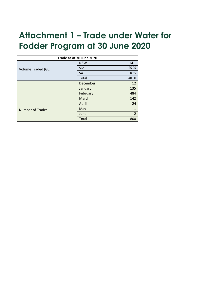## **Attachment 1 – Trade under Water for Fodder Program at 30 June 2020**

| Trade as at 30 June 2020 |              |                |  |
|--------------------------|--------------|----------------|--|
|                          | <b>NSW</b>   | 14.1           |  |
| Volume Traded (GL)       | Vic          | 25.25          |  |
|                          | <b>SA</b>    | 0.65           |  |
|                          | Total        | 40.00          |  |
| <b>Number of Trades</b>  | December     | 12             |  |
|                          | January      | 135            |  |
|                          | February     | 484            |  |
|                          | March        | 142            |  |
|                          | April        | 24             |  |
|                          | May          | $\mathbf{1}$   |  |
|                          | June         | $\overline{2}$ |  |
|                          | <b>Total</b> | 800            |  |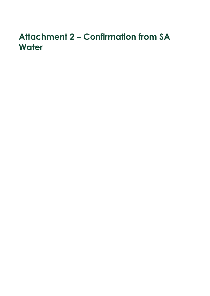## **Attachment 2 – Confirmation from SA Water**

- 
- 
- 
- -
- 
- 
- -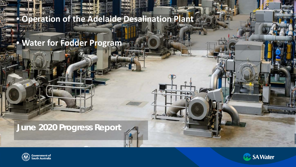## • **Operation of the Adelaide Desalination Plant**

• **Water for Fodder Program**

## **June 2020 Progress Report**





96. . . .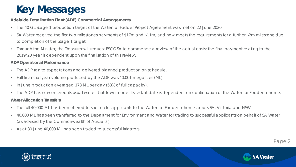# **Key Messages**

#### **Adelaide Desalination Plant (ADP) Commercial Arrangements**

- The 40 GL Stage 1 production target of the Water for Fodder Project Agreement was met on 22 June 2020.
- SA Water received the first two milestones payments of \$17m and \$11m, and now meets the requirements for a further \$2m milestone due to completion of the Stage 1 target.
- Through the Minister, the Treasurer will request ESCOSA to commence a review of the actual costs; the final payment relating to the 2019/20 year is dependent upon the finalisation of this review.

#### **ADP Operational Performance**

- The ADP ran to expectations and delivered planned production on schedule.
- Full financial year volume produced by the ADP was 40,001 megalitres (ML).
- In June production averaged 173 ML per day (58% of full capacity).
- The ADP has now entered its usual winter shutdown mode. Its restart date is dependent on continuation of the Water for Fodder scheme.

### **Water Allocation Transfers**

- The full 40,000 ML has been offered to successful applicants to the Water for Fodder scheme across SA, Victoria and NSW.
- 40,000 ML has been transferred to the Department for Environment and Water for trading to successful applicants on behalf of SA Water (as advised by the Commonwealth of Australia).
- As at 30 June 40,000 ML has been traded to successful irrigators.





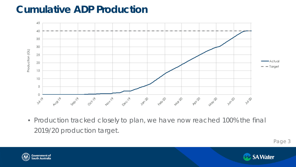## **Cumulative ADP Production**



• Production tracked closely to plan, we have now reached 100% the final 2019/20 production target.





Page 3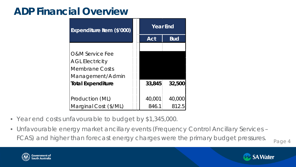## **ADP Financial Overview**

| Expenditure Item (\$'000)  | <b>Year End</b> |            |
|----------------------------|-----------------|------------|
|                            | <b>Act</b>      | <b>Bud</b> |
|                            |                 |            |
| <b>O&amp;M Service Fee</b> |                 |            |
| <b>AGL Electricity</b>     |                 |            |
| <b>Membrane Costs</b>      |                 |            |
| Management/Admin           |                 |            |
| <b>Total Expenditure</b>   | 33,845          | 32,500     |
|                            |                 |            |
| Production (ML)            | 40,001          | 40,000     |
| Marginal Cost (\$/ML)      | 846.1           | 812.5      |

- Year end costs unfavourable to budget by \$1,345,000.
- Unfavourable energy market ancillary events (Frequency Control Ancillary Services FCAS) and higher than forecast energy charges were the primary budget pressures.

Page 4